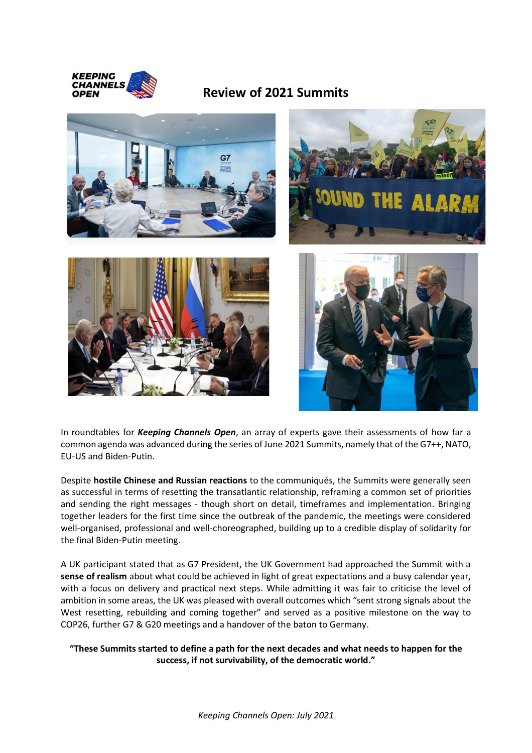

## **Review of 2021 Summits**









In roundtables for *Keeping Channels Open*, an array of experts gave their assessments of how far a common agenda was advanced during the series of June 2021 Summits, namely that of the G7++, NATO, EU-US and Biden-Putin.

Despite **hostile Chinese and Russian reactions** to the communiqués, the Summits were generally seen as successful in terms of resetting the transatlantic relationship, reframing a common set of priorities and sending the right messages - though short on detail, timeframes and implementation. Bringing together leaders for the first time since the outbreak of the pandemic, the meetings were considered well-organised, professional and well-choreographed, building up to a credible display of solidarity for the final Biden-Putin meeting.

A UK participant stated that as G7 President, the UK Government had approached the Summit with a **sense of realism** about what could be achieved in light of great expectations and a busy calendar year, with a focus on delivery and practical next steps. While admitting it was fair to criticise the level of ambition in some areas, the UK was pleased with overall outcomes which "sent strong signals about the West resetting, rebuilding and coming together" and served as a positive milestone on the way to COP26, further G7 & G20 meetings and a handover of the baton to Germany.

## **"These Summits started to define a path for the next decades and what needs to happen for the success, if not survivability, of the democratic world."**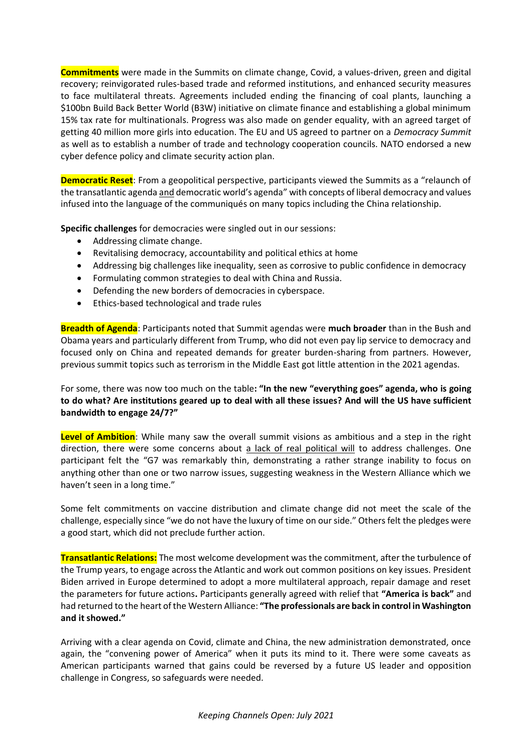**Commitments** were made in the Summits on climate change, Covid, a values-driven, green and digital recovery; reinvigorated rules-based trade and reformed institutions, and enhanced security measures to face multilateral threats. Agreements included ending the financing of coal plants, launching a \$100bn Build Back Better World (B3W) initiative on climate finance and establishing a global minimum 15% tax rate for multinationals. Progress was also made on gender equality, with an agreed target of getting 40 million more girls into education. The EU and US agreed to partner on a *Democracy Summit* as well as to establish a number of trade and technology cooperation councils. NATO endorsed a new cyber defence policy and climate security action plan.

**Democratic Reset**: From a geopolitical perspective, participants viewed the Summits as a "relaunch of the transatlantic agenda and democratic world's agenda" with concepts of liberal democracy and values infused into the language of the communiqués on many topics including the China relationship.

**Specific challenges** for democracies were singled out in our sessions:

- Addressing climate change.
- Revitalising democracy, accountability and political ethics at home
- Addressing big challenges like inequality, seen as corrosive to public confidence in democracy
- Formulating common strategies to deal with China and Russia.
- Defending the new borders of democracies in cyberspace.
- Ethics-based technological and trade rules

**Breadth of Agenda**: Participants noted that Summit agendas were **much broader** than in the Bush and Obama years and particularly different from Trump, who did not even pay lip service to democracy and focused only on China and repeated demands for greater burden-sharing from partners. However, previous summit topics such as terrorism in the Middle East got little attention in the 2021 agendas.

For some, there was now too much on the table**: "In the new "everything goes" agenda, who is going to do what? Are institutions geared up to deal with all these issues? And will the US have sufficient bandwidth to engage 24/7?"**

**Level of Ambition**: While many saw the overall summit visions as ambitious and a step in the right direction, there were some concerns about a lack of real political will to address challenges. One participant felt the "G7 was remarkably thin, demonstrating a rather strange inability to focus on anything other than one or two narrow issues, suggesting weakness in the Western Alliance which we haven't seen in a long time."

Some felt commitments on vaccine distribution and climate change did not meet the scale of the challenge, especially since "we do not have the luxury of time on our side." Others felt the pledges were a good start, which did not preclude further action.

**Transatlantic Relations:** The most welcome development was the commitment, after the turbulence of the Trump years, to engage across the Atlantic and work out common positions on key issues. President Biden arrived in Europe determined to adopt a more multilateral approach, repair damage and reset the parameters for future actions**.** Participants generally agreed with relief that **"America is back"** and had returned to the heart of the Western Alliance: **"The professionals are back in control in Washington and it showed."** 

Arriving with a clear agenda on Covid, climate and China, the new administration demonstrated, once again, the "convening power of America" when it puts its mind to it. There were some caveats as American participants warned that gains could be reversed by a future US leader and opposition challenge in Congress, so safeguards were needed.